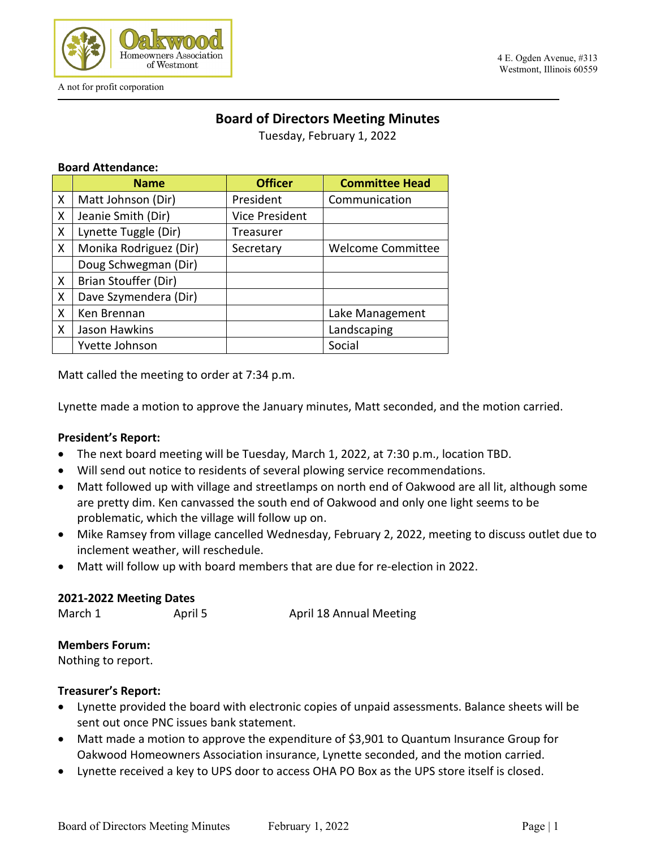

# **Board of Directors Meeting Minutes**

Tuesday, February 1, 2022

#### **Board Attendance:**

|   | <b>Name</b>            | <b>Officer</b> | <b>Committee Head</b>    |
|---|------------------------|----------------|--------------------------|
| X | Matt Johnson (Dir)     | President      | Communication            |
| X | Jeanie Smith (Dir)     | Vice President |                          |
| X | Lynette Tuggle (Dir)   | Treasurer      |                          |
| X | Monika Rodriguez (Dir) | Secretary      | <b>Welcome Committee</b> |
|   | Doug Schwegman (Dir)   |                |                          |
| X | Brian Stouffer (Dir)   |                |                          |
| X | Dave Szymendera (Dir)  |                |                          |
| X | Ken Brennan            |                | Lake Management          |
| X | Jason Hawkins          |                | Landscaping              |
|   | Yvette Johnson         |                | Social                   |

Matt called the meeting to order at 7:34 p.m.

Lynette made a motion to approve the January minutes, Matt seconded, and the motion carried.

#### **President's Report:**

- The next board meeting will be Tuesday, March 1, 2022, at 7:30 p.m., location TBD.
- Will send out notice to residents of several plowing service recommendations.
- Matt followed up with village and streetlamps on north end of Oakwood are all lit, although some are pretty dim. Ken canvassed the south end of Oakwood and only one light seems to be problematic, which the village will follow up on.
- Mike Ramsey from village cancelled Wednesday, February 2, 2022, meeting to discuss outlet due to inclement weather, will reschedule.
- Matt will follow up with board members that are due for re-election in 2022.

#### **2021-2022 Meeting Dates**

March 1 **April 5** April 18 Annual Meeting

#### **Members Forum:**

Nothing to report.

#### **Treasurer's Report:**

- Lynette provided the board with electronic copies of unpaid assessments. Balance sheets will be sent out once PNC issues bank statement.
- Matt made a motion to approve the expenditure of \$3,901 to Quantum Insurance Group for Oakwood Homeowners Association insurance, Lynette seconded, and the motion carried.
- Lynette received a key to UPS door to access OHA PO Box as the UPS store itself is closed.